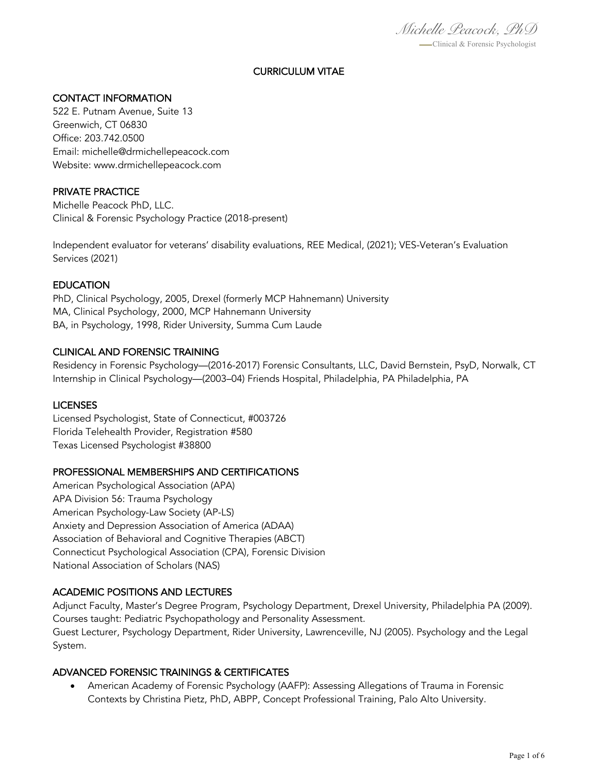*Michelle Peacock, PhD* -Clinical & Forensic Psychologist

# CURRICULUM VITAE

## CONTACT INFORMATION

522 E. Putnam Avenue, Suite 13 Greenwich, CT 06830 Office: 203.742.0500 Email: michelle@drmichellepeacock.com Website: www.drmichellepeacock.com

#### PRIVATE PRACTICE

Michelle Peacock PhD, LLC. Clinical & Forensic Psychology Practice (2018-present)

Independent evaluator for veterans' disability evaluations, REE Medical, (2021); VES-Veteran's Evaluation Services (2021)

## **EDUCATION**

PhD, Clinical Psychology, 2005, Drexel (formerly MCP Hahnemann) University MA, Clinical Psychology, 2000, MCP Hahnemann University BA, in Psychology, 1998, Rider University, Summa Cum Laude

#### CLINICAL AND FORENSIC TRAINING

Residency in Forensic Psychology—(2016-2017) Forensic Consultants, LLC, David Bernstein, PsyD, Norwalk, CT Internship in Clinical Psychology—(2003–04) Friends Hospital, Philadelphia, PA Philadelphia, PA

#### LICENSES

Licensed Psychologist, State of Connecticut, #003726 Florida Telehealth Provider, Registration #580 Texas Licensed Psychologist #38800

#### PROFESSIONAL MEMBERSHIPS AND CERTIFICATIONS

American Psychological Association (APA) APA Division 56: Trauma Psychology American Psychology-Law Society (AP-LS) Anxiety and Depression Association of America (ADAA) Association of Behavioral and Cognitive Therapies (ABCT) Connecticut Psychological Association (CPA), Forensic Division National Association of Scholars (NAS)

#### ACADEMIC POSITIONS AND LECTURES

Adjunct Faculty, Master's Degree Program, Psychology Department, Drexel University, Philadelphia PA (2009). Courses taught: Pediatric Psychopathology and Personality Assessment. Guest Lecturer, Psychology Department, Rider University, Lawrenceville, NJ (2005). Psychology and the Legal System.

#### ADVANCED FORENSIC TRAININGS & CERTIFICATES

• American Academy of Forensic Psychology (AAFP): Assessing Allegations of Trauma in Forensic Contexts by Christina Pietz, PhD, ABPP, Concept Professional Training, Palo Alto University.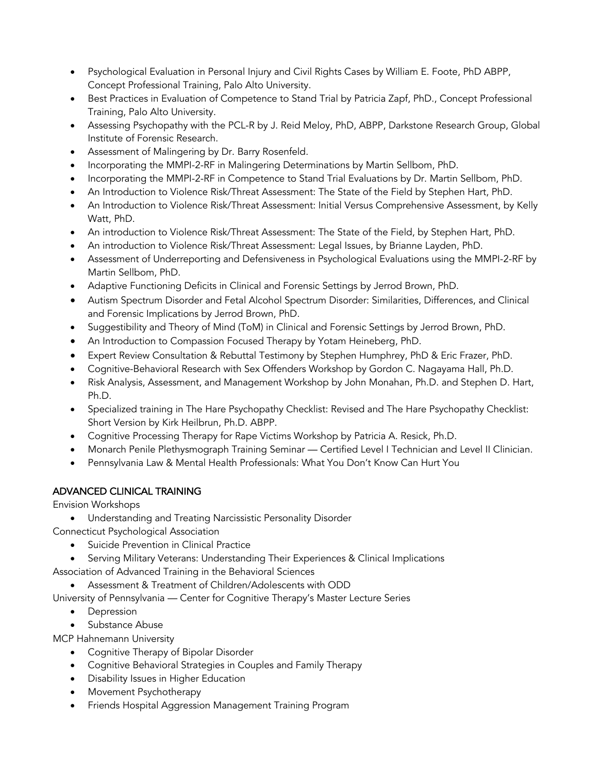- Psychological Evaluation in Personal Injury and Civil Rights Cases by William E. Foote, PhD ABPP, Concept Professional Training, Palo Alto University.
- Best Practices in Evaluation of Competence to Stand Trial by Patricia Zapf, PhD., Concept Professional Training, Palo Alto University.
- Assessing Psychopathy with the PCL-R by J. Reid Meloy, PhD, ABPP, Darkstone Research Group, Global Institute of Forensic Research.
- Assessment of Malingering by Dr. Barry Rosenfeld.
- Incorporating the MMPI-2-RF in Malingering Determinations by Martin Sellbom, PhD.
- Incorporating the MMPI-2-RF in Competence to Stand Trial Evaluations by Dr. Martin Sellbom, PhD.
- An Introduction to Violence Risk/Threat Assessment: The State of the Field by Stephen Hart, PhD.
- An Introduction to Violence Risk/Threat Assessment: Initial Versus Comprehensive Assessment, by Kelly Watt, PhD.
- An introduction to Violence Risk/Threat Assessment: The State of the Field, by Stephen Hart, PhD.
- An introduction to Violence Risk/Threat Assessment: Legal Issues, by Brianne Layden, PhD.
- Assessment of Underreporting and Defensiveness in Psychological Evaluations using the MMPI-2-RF by Martin Sellbom, PhD.
- Adaptive Functioning Deficits in Clinical and Forensic Settings by Jerrod Brown, PhD.
- Autism Spectrum Disorder and Fetal Alcohol Spectrum Disorder: Similarities, Differences, and Clinical and Forensic Implications by Jerrod Brown, PhD.
- Suggestibility and Theory of Mind (ToM) in Clinical and Forensic Settings by Jerrod Brown, PhD.
- An Introduction to Compassion Focused Therapy by Yotam Heineberg, PhD.
- Expert Review Consultation & Rebuttal Testimony by Stephen Humphrey, PhD & Eric Frazer, PhD.
- Cognitive-Behavioral Research with Sex Offenders Workshop by Gordon C. Nagayama Hall, Ph.D.
- Risk Analysis, Assessment, and Management Workshop by John Monahan, Ph.D. and Stephen D. Hart, Ph.D.
- Specialized training in The Hare Psychopathy Checklist: Revised and The Hare Psychopathy Checklist: Short Version by Kirk Heilbrun, Ph.D. ABPP.
- Cognitive Processing Therapy for Rape Victims Workshop by Patricia A. Resick, Ph.D.
- Monarch Penile Plethysmograph Training Seminar Certified Level I Technician and Level II Clinician.
- Pennsylvania Law & Mental Health Professionals: What You Don't Know Can Hurt You

## ADVANCED CLINICAL TRAINING

Envision Workshops

- Understanding and Treating Narcissistic Personality Disorder
- Connecticut Psychological Association
	- Suicide Prevention in Clinical Practice
	- Serving Military Veterans: Understanding Their Experiences & Clinical Implications

Association of Advanced Training in the Behavioral Sciences

• Assessment & Treatment of Children/Adolescents with ODD

University of Pennsylvania — Center for Cognitive Therapy's Master Lecture Series

- Depression
- Substance Abuse

MCP Hahnemann University

- Cognitive Therapy of Bipolar Disorder
- Cognitive Behavioral Strategies in Couples and Family Therapy
- Disability Issues in Higher Education
- Movement Psychotherapy
- Friends Hospital Aggression Management Training Program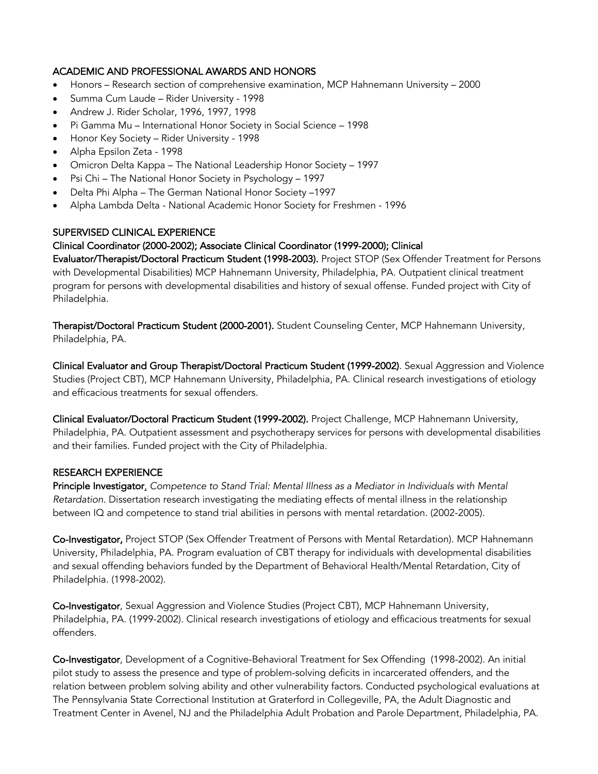## ACADEMIC AND PROFESSIONAL AWARDS AND HONORS

- Honors Research section of comprehensive examination, MCP Hahnemann University 2000
- Summa Cum Laude Rider University 1998
- Andrew J. Rider Scholar, 1996, 1997, 1998
- Pi Gamma Mu International Honor Society in Social Science 1998
- Honor Key Society Rider University 1998
- Alpha Epsilon Zeta 1998
- Omicron Delta Kappa The National Leadership Honor Society 1997
- Psi Chi The National Honor Society in Psychology 1997
- Delta Phi Alpha The German National Honor Society –1997
- Alpha Lambda Delta National Academic Honor Society for Freshmen 1996

#### SUPERVISED CLINICAL EXPERIENCE

#### Clinical Coordinator (2000-2002); Associate Clinical Coordinator (1999-2000); Clinical

Evaluator/Therapist/Doctoral Practicum Student (1998-2003). Project STOP (Sex Offender Treatment for Persons with Developmental Disabilities) MCP Hahnemann University, Philadelphia, PA. Outpatient clinical treatment program for persons with developmental disabilities and history of sexual offense. Funded project with City of Philadelphia.

Therapist/Doctoral Practicum Student (2000-2001). Student Counseling Center, MCP Hahnemann University, Philadelphia, PA.

Clinical Evaluator and Group Therapist/Doctoral Practicum Student (1999-2002). Sexual Aggression and Violence Studies (Project CBT), MCP Hahnemann University, Philadelphia, PA. Clinical research investigations of etiology and efficacious treatments for sexual offenders.

Clinical Evaluator/Doctoral Practicum Student (1999-2002). Project Challenge, MCP Hahnemann University, Philadelphia, PA. Outpatient assessment and psychotherapy services for persons with developmental disabilities and their families. Funded project with the City of Philadelphia.

#### RESEARCH EXPERIENCE

Principle Investigator, *Competence to Stand Trial: Mental Illness as a Mediator in Individuals with Mental Retardation.* Dissertation research investigating the mediating effects of mental illness in the relationship between IQ and competence to stand trial abilities in persons with mental retardation. (2002-2005).

Co-Investigator, Project STOP (Sex Offender Treatment of Persons with Mental Retardation). MCP Hahnemann University, Philadelphia, PA. Program evaluation of CBT therapy for individuals with developmental disabilities and sexual offending behaviors funded by the Department of Behavioral Health/Mental Retardation, City of Philadelphia. (1998-2002).

Co-Investigator, Sexual Aggression and Violence Studies (Project CBT), MCP Hahnemann University, Philadelphia, PA. (1999-2002). Clinical research investigations of etiology and efficacious treatments for sexual offenders.

Co-Investigator, Development of a Cognitive-Behavioral Treatment for Sex Offending (1998-2002). An initial pilot study to assess the presence and type of problem-solving deficits in incarcerated offenders, and the relation between problem solving ability and other vulnerability factors. Conducted psychological evaluations at The Pennsylvania State Correctional Institution at Graterford in Collegeville, PA, the Adult Diagnostic and Treatment Center in Avenel, NJ and the Philadelphia Adult Probation and Parole Department, Philadelphia, PA.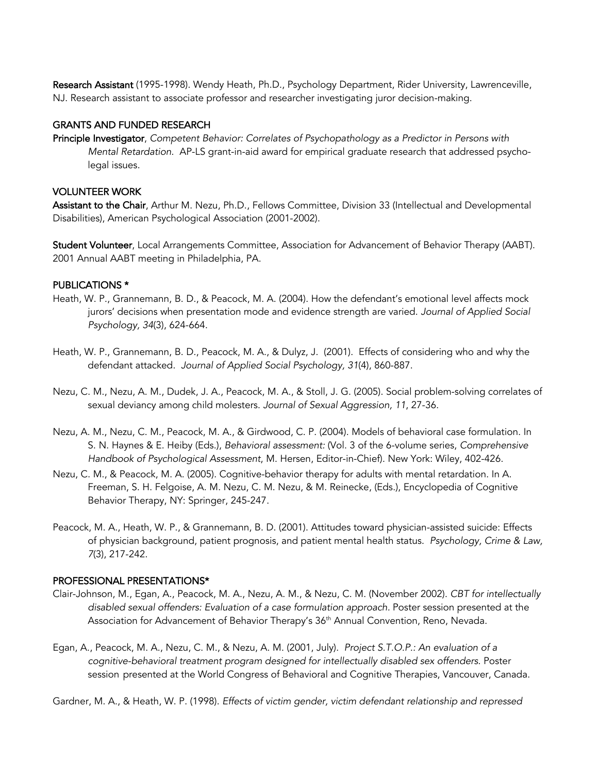Research Assistant (1995-1998). Wendy Heath, Ph.D., Psychology Department, Rider University, Lawrenceville, NJ. Research assistant to associate professor and researcher investigating juror decision-making.

### GRANTS AND FUNDED RESEARCH

Principle Investigator, *Competent Behavior: Correlates of Psychopathology as a Predictor in Persons with Mental Retardation*. AP-LS grant-in-aid award for empirical graduate research that addressed psycholegal issues.

## VOLUNTEER WORK

Assistant to the Chair, Arthur M. Nezu, Ph.D., Fellows Committee, Division 33 (Intellectual and Developmental Disabilities), American Psychological Association (2001-2002).

Student Volunteer, Local Arrangements Committee, Association for Advancement of Behavior Therapy (AABT). 2001 Annual AABT meeting in Philadelphia, PA.

## PUBLICATIONS \*

- Heath, W. P., Grannemann, B. D., & Peacock, M. A. (2004). How the defendant's emotional level affects mock jurors' decisions when presentation mode and evidence strength are varied. *Journal of Applied Social Psychology, 34*(3), 624-664.
- Heath, W. P., Grannemann, B. D., Peacock, M. A., & Dulyz, J. (2001). Effects of considering who and why the defendant attacked. *Journal of Applied Social Psychology, 31*(4), 860-887.
- Nezu, C. M., Nezu, A. M., Dudek, J. A., Peacock, M. A., & Stoll, J. G. (2005). Social problem-solving correlates of sexual deviancy among child molesters. *Journal of Sexual Aggression, 11*, 27-36.
- Nezu, A. M., Nezu, C. M., Peacock, M. A., & Girdwood, C. P. (2004). Models of behavioral case formulation. In S. N. Haynes & E. Heiby (Eds.), *Behavioral assessment:* (Vol. 3 of the 6-volume series, *Comprehensive Handbook of Psychological Assessment*, M. Hersen, Editor-in-Chief). New York: Wiley, 402-426.
- Nezu, C. M., & Peacock, M. A. (2005). Cognitive-behavior therapy for adults with mental retardation. In A. Freeman, S. H. Felgoise, A. M. Nezu, C. M. Nezu, & M. Reinecke, (Eds.), Encyclopedia of Cognitive Behavior Therapy, NY: Springer, 245-247.
- Peacock, M. A., Heath, W. P., & Grannemann, B. D. (2001). Attitudes toward physician-assisted suicide: Effects of physician background, patient prognosis, and patient mental health status. *Psychology, Crime & Law, 7*(3), 217-242.

#### PROFESSIONAL PRESENTATIONS\*

- Clair-Johnson, M., Egan, A., Peacock, M. A., Nezu, A. M., & Nezu, C. M. (November 2002). *CBT for intellectually disabled sexual offenders: Evaluation of a case formulation approach.* Poster session presented at the Association for Advancement of Behavior Therapy's 36<sup>th</sup> Annual Convention, Reno, Nevada.
- Egan, A., Peacock, M. A., Nezu, C. M., & Nezu, A. M. (2001, July). *Project S.T.O.P.: An evaluation of a cognitive-behavioral treatment program designed for intellectually disabled sex offenders*. Poster session presented at the World Congress of Behavioral and Cognitive Therapies, Vancouver, Canada.

Gardner, M. A., & Heath, W. P. (1998). *Effects of victim gender, victim defendant relationship and repressed*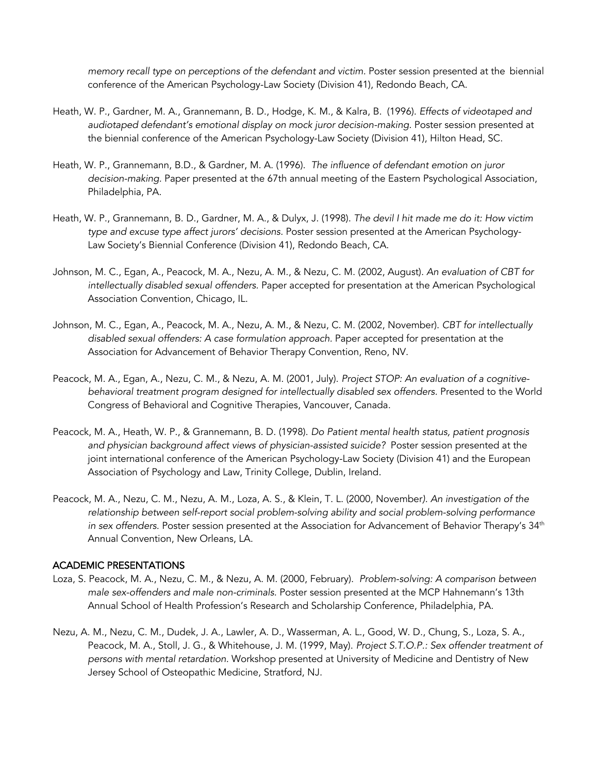*memory recall type on perceptions of the defendant and victim.* Poster session presented at the biennial conference of the American Psychology-Law Society (Division 41), Redondo Beach, CA.

- Heath, W. P., Gardner, M. A., Grannemann, B. D., Hodge, K. M., & Kalra, B. (1996). *Effects of videotaped and audiotaped defendant's emotional display on mock juror decision-making.* Poster session presented at the biennial conference of the American Psychology-Law Society (Division 41), Hilton Head, SC.
- Heath, W. P., Grannemann, B.D., & Gardner, M. A. (1996). *The influence of defendant emotion on juror decision-making.* Paper presented at the 67th annual meeting of the Eastern Psychological Association, Philadelphia, PA.
- Heath, W. P., Grannemann, B. D., Gardner, M. A., & Dulyx, J. (1998). *The devil I hit made me do it: How victim type and excuse type affect jurors' decisions.* Poster session presented at the American Psychology-Law Society's Biennial Conference (Division 41), Redondo Beach, CA.
- Johnson, M. C., Egan, A., Peacock, M. A., Nezu, A. M., & Nezu, C. M. (2002, August). *An evaluation of CBT for intellectually disabled sexual offenders.* Paper accepted for presentation at the American Psychological Association Convention, Chicago, IL.
- Johnson, M. C., Egan, A., Peacock, M. A., Nezu, A. M., & Nezu, C. M. (2002, November). *CBT for intellectually disabled sexual offenders: A case formulation approach.* Paper accepted for presentation at the Association for Advancement of Behavior Therapy Convention, Reno, NV.
- Peacock, M. A., Egan, A., Nezu, C. M., & Nezu, A. M. (2001, July). *Project STOP: An evaluation of a cognitivebehavioral treatment program designed for intellectually disabled sex offenders.* Presented to the World Congress of Behavioral and Cognitive Therapies, Vancouver, Canada.
- Peacock, M. A., Heath, W. P., & Grannemann, B. D. (1998). *Do Patient mental health status, patient prognosis and physician background affect views of physician-assisted suicide?* Poster session presented at the joint international conference of the American Psychology-Law Society (Division 41) and the European Association of Psychology and Law, Trinity College, Dublin, Ireland.
- Peacock, M. A., Nezu, C. M., Nezu, A. M., Loza, A. S., & Klein, T. L. (2000, November*). An investigation of the relationship between self-report social problem-solving ability and social problem-solving performance*  in sex offenders. Poster session presented at the Association for Advancement of Behavior Therapy's 34<sup>th</sup> Annual Convention, New Orleans, LA.

#### ACADEMIC PRESENTATIONS

- Loza, S. Peacock, M. A., Nezu, C. M., & Nezu, A. M. (2000, February). *Problem-solving: A comparison between male sex-offenders and male non-criminals.* Poster session presented at the MCP Hahnemann's 13th Annual School of Health Profession's Research and Scholarship Conference, Philadelphia, PA.
- Nezu, A. M., Nezu, C. M., Dudek, J. A., Lawler, A. D., Wasserman, A. L., Good, W. D., Chung, S., Loza, S. A., Peacock, M. A., Stoll, J. G., & Whitehouse, J. M. (1999, May). *Project S.T.O.P.: Sex offender treatment of persons with mental retardation.* Workshop presented at University of Medicine and Dentistry of New Jersey School of Osteopathic Medicine, Stratford, NJ.